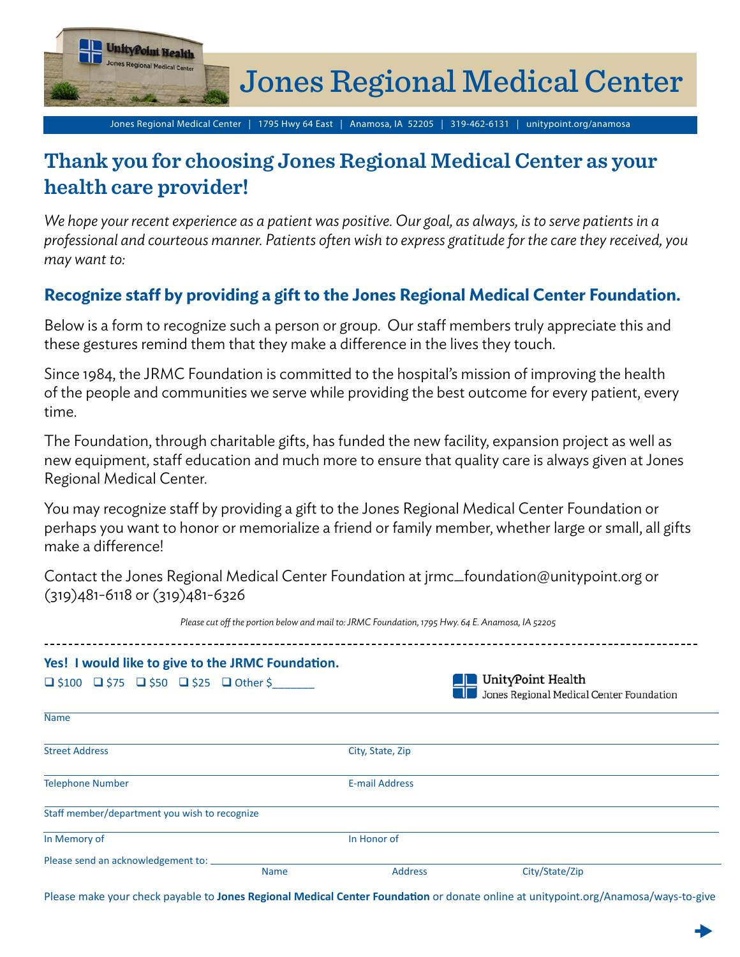

Jones Regional Medical Center | 1795 Hwy 64 East | Anamosa, IA 52205 | 319-462-6131 | unitypoint.org/anamosa

## **Thank you for choosing Jones Regional Medical Center as your health care provider!**

*We hope your recent experience as a patient was positive. Our goal, as always, is to serve patients in a professional and courteous manner. Patients often wish to express gratitude for the care they received, you may want to:* 

## **Recognize staff by providing a gift to the Jones Regional Medical Center Foundation.**

Below is a form to recognize such a person or group. Our staff members truly appreciate this and these gestures remind them that they make a difference in the lives they touch.

Since 1984, the JRMC Foundation is committed to the hospital's mission of improving the health of the people and communities we serve while providing the best outcome for every patient, every time.

The Foundation, through charitable gifts, has funded the new facility, expansion project as well as new equipment, staff education and much more to ensure that quality care is always given at Jones Regional Medical Center.

You may recognize staff by providing a gift to the Jones Regional Medical Center Foundation or perhaps you want to honor or memorialize a friend or family member, whether large or small, all gifts make a difference!

Contact the Jones Regional Medical Center Foundation at jrmc\_foundation@unitypoint.org or (319)481-6118 or (319)481-6326

| Please cut off the portion below and mail to: JRMC Foundation, 1795 Hwy. 64 E. Anamosa, IA 52205 |             |                       |                                                                        |  |
|--------------------------------------------------------------------------------------------------|-------------|-----------------------|------------------------------------------------------------------------|--|
| Yes! I would like to give to the JRMC Foundation.                                                |             |                       |                                                                        |  |
| $\Box$ \$100 $\Box$ \$75 $\Box$ \$50 $\Box$ \$25 $\Box$ Other \$                                 |             |                       | <b>T</b> UnityPoint Health<br>Jones Regional Medical Center Foundation |  |
| <b>Name</b>                                                                                      |             |                       |                                                                        |  |
| <b>Street Address</b>                                                                            |             | City, State, Zip      |                                                                        |  |
| <b>Telephone Number</b>                                                                          |             | <b>E-mail Address</b> |                                                                        |  |
| Staff member/department you wish to recognize                                                    |             |                       |                                                                        |  |
| In Memory of                                                                                     |             | In Honor of           |                                                                        |  |
| Please send an acknowledgement to:                                                               | <b>Name</b> | <b>Address</b>        | City/State/Zip                                                         |  |

Please make your check payable to **Jones Regional Medical Center Foundation** or donate online at unitypoint.org/Anamosa/ways-to-give

 $\blacktriangleright$